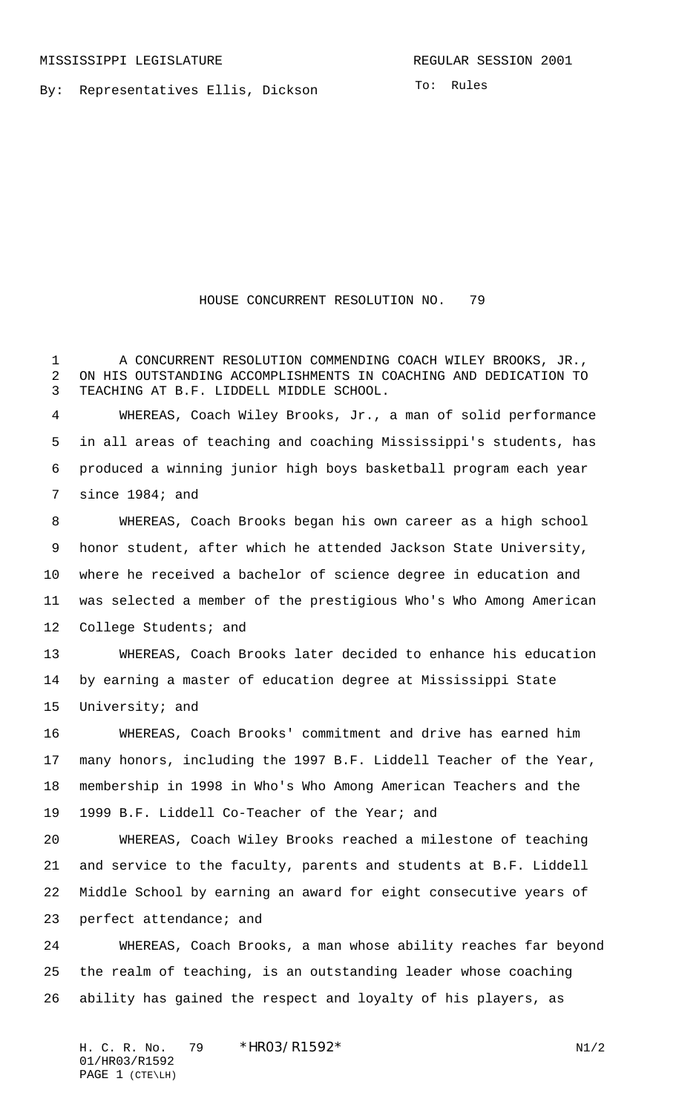By: Representatives Ellis, Dickson

To: Rules

HOUSE CONCURRENT RESOLUTION NO. 79

 A CONCURRENT RESOLUTION COMMENDING COACH WILEY BROOKS, JR., ON HIS OUTSTANDING ACCOMPLISHMENTS IN COACHING AND DEDICATION TO TEACHING AT B.F. LIDDELL MIDDLE SCHOOL.

 WHEREAS, Coach Wiley Brooks, Jr., a man of solid performance in all areas of teaching and coaching Mississippi's students, has produced a winning junior high boys basketball program each year since 1984; and

 WHEREAS, Coach Brooks began his own career as a high school honor student, after which he attended Jackson State University, where he received a bachelor of science degree in education and was selected a member of the prestigious Who's Who Among American College Students; and

 WHEREAS, Coach Brooks later decided to enhance his education by earning a master of education degree at Mississippi State University; and

 WHEREAS, Coach Brooks' commitment and drive has earned him many honors, including the 1997 B.F. Liddell Teacher of the Year, membership in 1998 in Who's Who Among American Teachers and the 1999 B.F. Liddell Co-Teacher of the Year; and

 WHEREAS, Coach Wiley Brooks reached a milestone of teaching and service to the faculty, parents and students at B.F. Liddell Middle School by earning an award for eight consecutive years of perfect attendance; and

 WHEREAS, Coach Brooks, a man whose ability reaches far beyond the realm of teaching, is an outstanding leader whose coaching ability has gained the respect and loyalty of his players, as